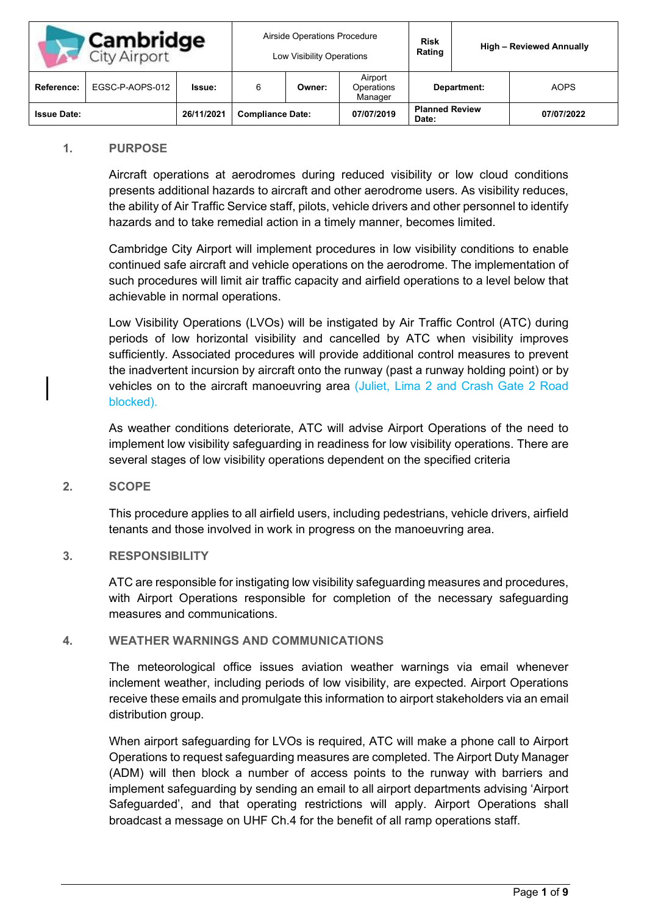| <b>Cambridge</b><br>City Airport |                 | Airside Operations Procedure<br>Low Visibility Operations |                         |        | <b>Risk</b><br>Rating            |                                | <b>High - Reviewed Annually</b> |             |
|----------------------------------|-----------------|-----------------------------------------------------------|-------------------------|--------|----------------------------------|--------------------------------|---------------------------------|-------------|
| Reference:                       | EGSC-P-AOPS-012 | Issue:                                                    |                         | Owner: | Airport<br>Operations<br>Manager | Department:                    |                                 | <b>AOPS</b> |
| <b>Issue Date:</b>               |                 | 26/11/2021                                                | <b>Compliance Date:</b> |        | 07/07/2019                       | <b>Planned Review</b><br>Date: |                                 | 07/07/2022  |

#### **1. PURPOSE**

Aircraft operations at aerodromes during reduced visibility or low cloud conditions presents additional hazards to aircraft and other aerodrome users. As visibility reduces, the ability of Air Traffic Service staff, pilots, vehicle drivers and other personnel to identify hazards and to take remedial action in a timely manner, becomes limited.

Cambridge City Airport will implement procedures in low visibility conditions to enable continued safe aircraft and vehicle operations on the aerodrome. The implementation of such procedures will limit air traffic capacity and airfield operations to a level below that achievable in normal operations.

Low Visibility Operations (LVOs) will be instigated by Air Traffic Control (ATC) during periods of low horizontal visibility and cancelled by ATC when visibility improves sufficiently. Associated procedures will provide additional control measures to prevent the inadvertent incursion by aircraft onto the runway (past a runway holding point) or by vehicles on to the aircraft manoeuvring area (Juliet, Lima 2 and Crash Gate 2 Road blocked).

As weather conditions deteriorate, ATC will advise Airport Operations of the need to implement low visibility safeguarding in readiness for low visibility operations. There are several stages of low visibility operations dependent on the specified criteria

### **2. SCOPE**

This procedure applies to all airfield users, including pedestrians, vehicle drivers, airfield tenants and those involved in work in progress on the manoeuvring area.

### **3. RESPONSIBILITY**

ATC are responsible for instigating low visibility safeguarding measures and procedures, with Airport Operations responsible for completion of the necessary safeguarding measures and communications.

### **4. WEATHER WARNINGS AND COMMUNICATIONS**

The meteorological office issues aviation weather warnings via email whenever inclement weather, including periods of low visibility, are expected. Airport Operations receive these emails and promulgate this information to airport stakeholders via an email distribution group.

When airport safeguarding for LVOs is required, ATC will make a phone call to Airport Operations to request safeguarding measures are completed. The Airport Duty Manager (ADM) will then block a number of access points to the runway with barriers and implement safeguarding by sending an email to all airport departments advising 'Airport Safeguarded', and that operating restrictions will apply. Airport Operations shall broadcast a message on UHF Ch.4 for the benefit of all ramp operations staff.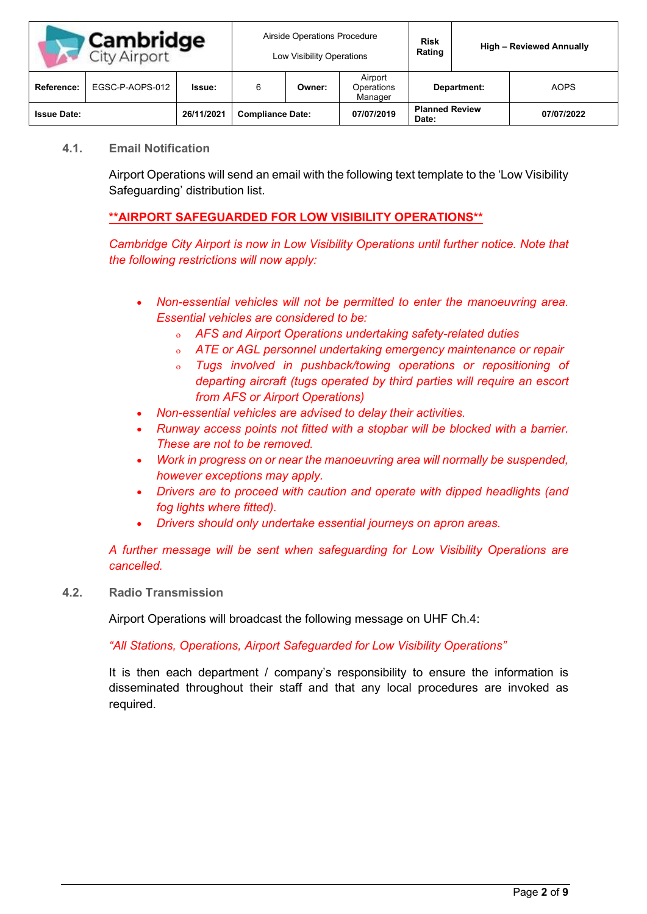| Cambridge<br><b>City Airport</b> |                 | Airside Operations Procedure<br>Low Visibility Operations |                         |        | <b>Risk</b><br>Rating            |                                | <b>High - Reviewed Annually</b> |             |
|----------------------------------|-----------------|-----------------------------------------------------------|-------------------------|--------|----------------------------------|--------------------------------|---------------------------------|-------------|
| Reference:                       | EGSC-P-AOPS-012 | <b>Issue:</b>                                             |                         | Owner: | Airport<br>Operations<br>Manager | Department:                    |                                 | <b>AOPS</b> |
| <b>Issue Date:</b>               |                 | 26/11/2021                                                | <b>Compliance Date:</b> |        | 07/07/2019                       | <b>Planned Review</b><br>Date: |                                 | 07/07/2022  |

### **4.1. Email Notification**

Airport Operations will send an email with the following text template to the 'Low Visibility Safeguarding' distribution list.

# **\*\*AIRPORT SAFEGUARDED FOR LOW VISIBILITY OPERATIONS\*\***

*Cambridge City Airport is now in Low Visibility Operations until further notice. Note that the following restrictions will now apply:*

- *Non-essential vehicles will not be permitted to enter the manoeuvring area. Essential vehicles are considered to be:*
	- ο *AFS and Airport Operations undertaking safety-related duties*
	- ο *ATE or AGL personnel undertaking emergency maintenance or repair*
	- ο *Tugs involved in pushback/towing operations or repositioning of departing aircraft (tugs operated by third parties will require an escort from AFS or Airport Operations)*
- *Non-essential vehicles are advised to delay their activities.*
- *Runway access points not fitted with a stopbar will be blocked with a barrier. These are not to be removed.*
- *Work in progress on or near the manoeuvring area will normally be suspended, however exceptions may apply.*
- *Drivers are to proceed with caution and operate with dipped headlights (and fog lights where fitted).*
- *Drivers should only undertake essential journeys on apron areas.*

*A further message will be sent when safeguarding for Low Visibility Operations are cancelled.*

**4.2. Radio Transmission**

Airport Operations will broadcast the following message on UHF Ch.4:

*"All Stations, Operations, Airport Safeguarded for Low Visibility Operations"* 

It is then each department / company's responsibility to ensure the information is disseminated throughout their staff and that any local procedures are invoked as required.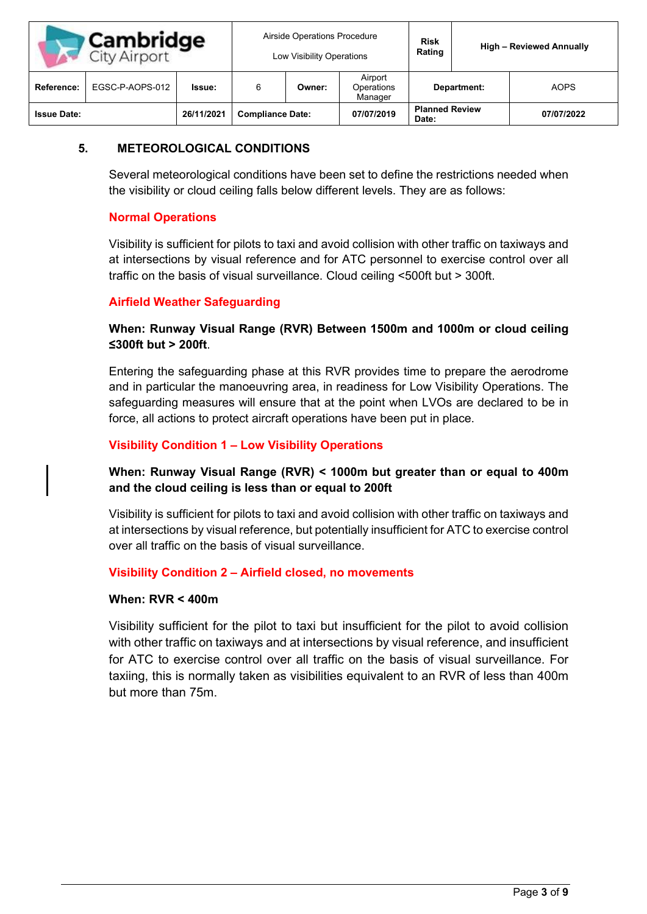| <b>Cambridge</b><br><b>City Airport</b> |                 | Airside Operations Procedure<br>Low Visibility Operations |                         |        | <b>Risk</b><br>Rating            | <b>High - Reviewed Annually</b> |  |             |
|-----------------------------------------|-----------------|-----------------------------------------------------------|-------------------------|--------|----------------------------------|---------------------------------|--|-------------|
| Reference:                              | EGSC-P-AOPS-012 | Issue:                                                    |                         | Owner: | Airport<br>Operations<br>Manager | Department:                     |  | <b>AOPS</b> |
| <b>Issue Date:</b>                      |                 | 26/11/2021                                                | <b>Compliance Date:</b> |        | 07/07/2019                       | <b>Planned Review</b><br>Date:  |  | 07/07/2022  |

# **5. METEOROLOGICAL CONDITIONS**

Several meteorological conditions have been set to define the restrictions needed when the visibility or cloud ceiling falls below different levels. They are as follows:

# **Normal Operations**

Visibility is sufficient for pilots to taxi and avoid collision with other traffic on taxiways and at intersections by visual reference and for ATC personnel to exercise control over all traffic on the basis of visual surveillance. Cloud ceiling <500ft but > 300ft.

# **Airfield Weather Safeguarding**

# **When: Runway Visual Range (RVR) Between 1500m and 1000m or cloud ceiling ≤300ft but > 200ft**.

Entering the safeguarding phase at this RVR provides time to prepare the aerodrome and in particular the manoeuvring area, in readiness for Low Visibility Operations. The safeguarding measures will ensure that at the point when LVOs are declared to be in force, all actions to protect aircraft operations have been put in place.

# **Visibility Condition 1 – Low Visibility Operations**

# **When: Runway Visual Range (RVR) < 1000m but greater than or equal to 400m and the cloud ceiling is less than or equal to 200ft**

Visibility is sufficient for pilots to taxi and avoid collision with other traffic on taxiways and at intersections by visual reference, but potentially insufficient for ATC to exercise control over all traffic on the basis of visual surveillance.

# **Visibility Condition 2 – Airfield closed, no movements**

### **When: RVR < 400m**

Visibility sufficient for the pilot to taxi but insufficient for the pilot to avoid collision with other traffic on taxiways and at intersections by visual reference, and insufficient for ATC to exercise control over all traffic on the basis of visual surveillance. For taxiing, this is normally taken as visibilities equivalent to an RVR of less than 400m but more than 75m.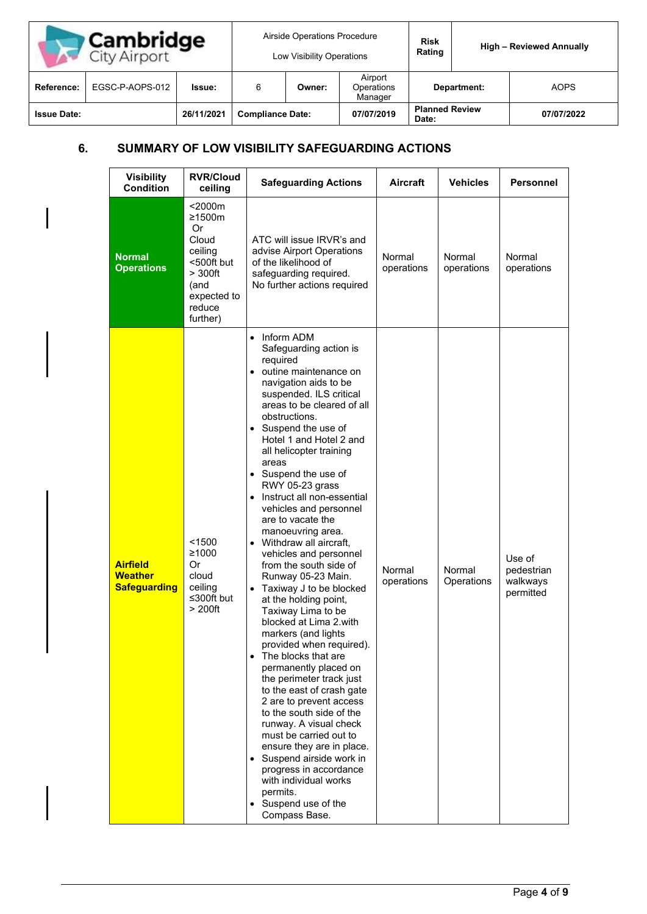| <b>Cambridge</b><br>City Airport |                 | Airside Operations Procedure<br>Low Visibility Operations |                         |        | <b>Risk</b><br>Rating            | <b>High - Reviewed Annually</b> |  |             |
|----------------------------------|-----------------|-----------------------------------------------------------|-------------------------|--------|----------------------------------|---------------------------------|--|-------------|
| <b>Reference:</b>                | EGSC-P-AOPS-012 | <b>Issue:</b>                                             |                         | Owner: | Airport<br>Operations<br>Manager | Department:                     |  | <b>AOPS</b> |
| <b>Issue Date:</b>               |                 | 26/11/2021                                                | <b>Compliance Date:</b> |        | 07/07/2019                       | <b>Planned Review</b><br>Date:  |  | 07/07/2022  |

# **6. SUMMARY OF LOW VISIBILITY SAFEGUARDING ACTIONS**

 $\overline{\phantom{a}}$ 

| <b>Visibility</b><br><b>Condition</b>                    | <b>RVR/Cloud</b><br>ceiling                                                                                               | <b>Safeguarding Actions</b>                                                                                                                                                                                                                                                                                                                                                                                                                                                                                                                                                                                                                                                                                                                                                                                                                                                                                                                                                                                                                                                                 | <b>Aircraft</b>      | <b>Vehicles</b>      | <b>Personnel</b>                              |
|----------------------------------------------------------|---------------------------------------------------------------------------------------------------------------------------|---------------------------------------------------------------------------------------------------------------------------------------------------------------------------------------------------------------------------------------------------------------------------------------------------------------------------------------------------------------------------------------------------------------------------------------------------------------------------------------------------------------------------------------------------------------------------------------------------------------------------------------------------------------------------------------------------------------------------------------------------------------------------------------------------------------------------------------------------------------------------------------------------------------------------------------------------------------------------------------------------------------------------------------------------------------------------------------------|----------------------|----------------------|-----------------------------------------------|
| <b>Normal</b><br><b>Operations</b>                       | $<$ 2000 $m$<br>≥1500m<br>Or<br>Cloud<br>ceiling<br><500ft but<br>$> 300$ ft<br>(and<br>expected to<br>reduce<br>further) | ATC will issue IRVR's and<br>advise Airport Operations<br>of the likelihood of<br>safeguarding required.<br>No further actions required                                                                                                                                                                                                                                                                                                                                                                                                                                                                                                                                                                                                                                                                                                                                                                                                                                                                                                                                                     | Normal<br>operations | Normal<br>operations | Normal<br>operations                          |
| <b>Airfield</b><br><b>Weather</b><br><b>Safeguarding</b> | < 1500<br>≥1000<br>Or<br>cloud<br>ceiling<br>≤300ft but<br>> 200 <sup>ft</sup>                                            | Inform ADM<br>$\bullet$<br>Safeguarding action is<br>required<br>• outine maintenance on<br>navigation aids to be<br>suspended. ILS critical<br>areas to be cleared of all<br>obstructions.<br>• Suspend the use of<br>Hotel 1 and Hotel 2 and<br>all helicopter training<br>areas<br>• Suspend the use of<br>RWY 05-23 grass<br>Instruct all non-essential<br>$\bullet$<br>vehicles and personnel<br>are to vacate the<br>manoeuvring area.<br>• Withdraw all aircraft,<br>vehicles and personnel<br>from the south side of<br>Runway 05-23 Main.<br>Taxiway J to be blocked<br>at the holding point,<br>Taxiway Lima to be<br>blocked at Lima 2.with<br>markers (and lights<br>provided when required).<br>The blocks that are<br>permanently placed on<br>the perimeter track just<br>to the east of crash gate<br>2 are to prevent access<br>to the south side of the<br>runway. A visual check<br>must be carried out to<br>ensure they are in place.<br>Suspend airside work in<br>progress in accordance<br>with individual works<br>permits.<br>Suspend use of the<br>Compass Base. | Normal<br>operations | Normal<br>Operations | Use of<br>pedestrian<br>walkways<br>permitted |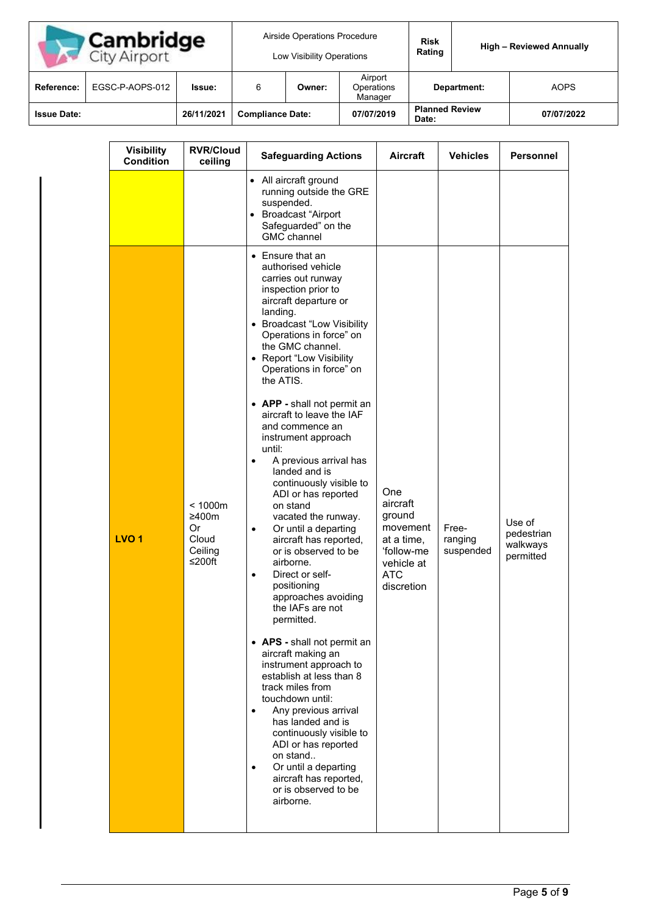| <b>Cambridge</b><br><b>City Airport</b> |                 | Airside Operations Procedure<br>Low Visibility Operations |                         |        | <b>Risk</b><br>Rating            |                                | <b>High - Reviewed Annually</b> |             |
|-----------------------------------------|-----------------|-----------------------------------------------------------|-------------------------|--------|----------------------------------|--------------------------------|---------------------------------|-------------|
| Reference:                              | EGSC-P-AOPS-012 | Issue:                                                    |                         | Owner: | Airport<br>Operations<br>Manager | Department:                    |                                 | <b>AOPS</b> |
| <b>Issue Date:</b>                      |                 | 26/11/2021                                                | <b>Compliance Date:</b> |        | 07/07/2019                       | <b>Planned Review</b><br>Date: |                                 | 07/07/2022  |

| <b>Visibility</b><br><b>Condition</b> | <b>RVR/Cloud</b><br>ceiling                          | <b>Safeguarding Actions</b>                                                                                                                                                                                                                                                                                                                                                                                                                                                                                                                                                                                                                                                                                                                                                                                                                                                                                                                                                                                                                                                                                   | Aircraft                                                                                                    | <b>Vehicles</b>               | <b>Personnel</b>                              |
|---------------------------------------|------------------------------------------------------|---------------------------------------------------------------------------------------------------------------------------------------------------------------------------------------------------------------------------------------------------------------------------------------------------------------------------------------------------------------------------------------------------------------------------------------------------------------------------------------------------------------------------------------------------------------------------------------------------------------------------------------------------------------------------------------------------------------------------------------------------------------------------------------------------------------------------------------------------------------------------------------------------------------------------------------------------------------------------------------------------------------------------------------------------------------------------------------------------------------|-------------------------------------------------------------------------------------------------------------|-------------------------------|-----------------------------------------------|
|                                       |                                                      | • All aircraft ground<br>running outside the GRE<br>suspended.<br>• Broadcast "Airport<br>Safeguarded" on the<br><b>GMC</b> channel                                                                                                                                                                                                                                                                                                                                                                                                                                                                                                                                                                                                                                                                                                                                                                                                                                                                                                                                                                           |                                                                                                             |                               |                                               |
| LVO <sub>1</sub>                      | < 1000m<br>≥400m<br>Or<br>Cloud<br>Ceiling<br>≤200ft | • Ensure that an<br>authorised vehicle<br>carries out runway<br>inspection prior to<br>aircraft departure or<br>landing.<br>• Broadcast "Low Visibility<br>Operations in force" on<br>the GMC channel.<br>• Report "Low Visibility<br>Operations in force" on<br>the ATIS.<br>• APP - shall not permit an<br>aircraft to leave the IAF<br>and commence an<br>instrument approach<br>until:<br>A previous arrival has<br>$\bullet$<br>landed and is<br>continuously visible to<br>ADI or has reported<br>on stand<br>vacated the runway.<br>Or until a departing<br>aircraft has reported,<br>or is observed to be<br>airborne.<br>Direct or self-<br>٠<br>positioning<br>approaches avoiding<br>the IAFs are not<br>permitted.<br>• APS - shall not permit an<br>aircraft making an<br>instrument approach to<br>establish at less than 8<br>track miles from<br>touchdown until:<br>Any previous arrival<br>$\bullet$<br>has landed and is<br>continuously visible to<br>ADI or has reported<br>on stand<br>Or until a departing<br>$\bullet$<br>aircraft has reported,<br>or is observed to be<br>airborne. | One<br>aircraft<br>ground<br>movement<br>at a time,<br>'follow-me<br>vehicle at<br><b>ATC</b><br>discretion | Free-<br>ranging<br>suspended | Use of<br>pedestrian<br>walkways<br>permitted |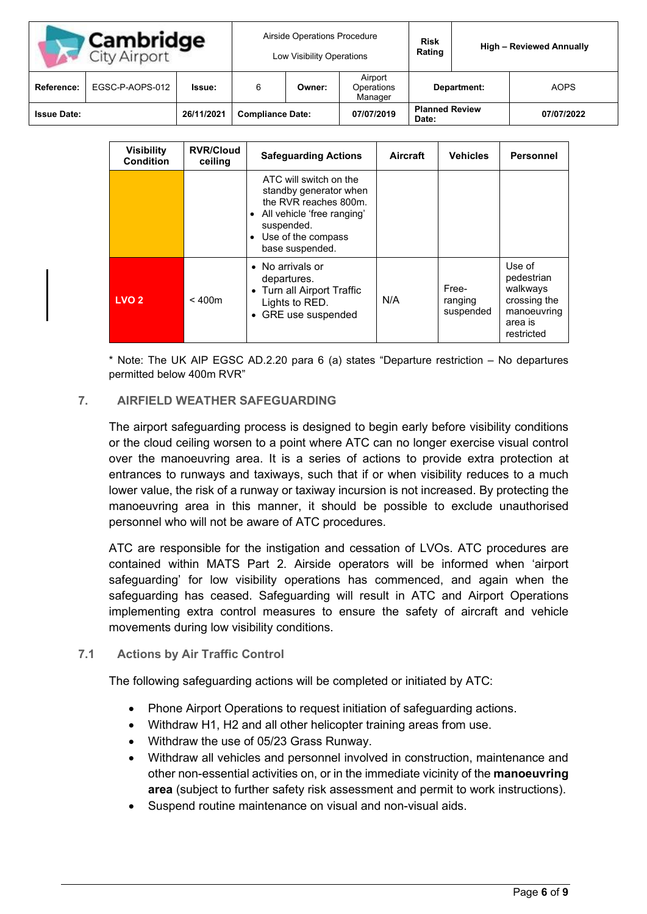| <b>Cambridge</b><br>City Airport |                 | Airside Operations Procedure<br>Low Visibility Operations |                         |        | <b>Risk</b><br>Rating            | <b>High - Reviewed Annually</b> |  |             |
|----------------------------------|-----------------|-----------------------------------------------------------|-------------------------|--------|----------------------------------|---------------------------------|--|-------------|
| Reference:                       | EGSC-P-AOPS-012 | Issue:                                                    | 6                       | Owner: | Airport<br>Operations<br>Manager | Department:                     |  | <b>AOPS</b> |
| <b>Issue Date:</b>               |                 | 26/11/2021                                                | <b>Compliance Date:</b> |        | 07/07/2019                       | <b>Planned Review</b><br>Date:  |  | 07/07/2022  |

| <b>Visibility</b><br><b>Condition</b> | <b>RVR/Cloud</b><br>ceiling | <b>Safeguarding Actions</b>                                                                                                                                                              | Aircraft | <b>Vehicles</b>               | <b>Personnel</b>                                                                         |
|---------------------------------------|-----------------------------|------------------------------------------------------------------------------------------------------------------------------------------------------------------------------------------|----------|-------------------------------|------------------------------------------------------------------------------------------|
|                                       |                             | ATC will switch on the<br>standby generator when<br>the RVR reaches 800m.<br>All vehicle 'free ranging'<br>$\bullet$<br>suspended.<br>Use of the compass<br>$\bullet$<br>base suspended. |          |                               |                                                                                          |
| LVO <sub>2</sub>                      | < 400m                      | • No arrivals or<br>departures.<br>• Turn all Airport Traffic<br>Lights to RED.<br>• GRE use suspended                                                                                   | N/A      | Free-<br>ranging<br>suspended | Use of<br>pedestrian<br>walkways<br>crossing the<br>manoeuvring<br>area is<br>restricted |

\* Note: The UK AIP EGSC AD.2.20 para 6 (a) states "Departure restriction – No departures permitted below 400m RVR"

### **7. AIRFIELD WEATHER SAFEGUARDING**

The airport safeguarding process is designed to begin early before visibility conditions or the cloud ceiling worsen to a point where ATC can no longer exercise visual control over the manoeuvring area. It is a series of actions to provide extra protection at entrances to runways and taxiways, such that if or when visibility reduces to a much lower value, the risk of a runway or taxiway incursion is not increased. By protecting the manoeuvring area in this manner, it should be possible to exclude unauthorised personnel who will not be aware of ATC procedures.

ATC are responsible for the instigation and cessation of LVOs. ATC procedures are contained within MATS Part 2. Airside operators will be informed when 'airport safeguarding' for low visibility operations has commenced, and again when the safeguarding has ceased. Safeguarding will result in ATC and Airport Operations implementing extra control measures to ensure the safety of aircraft and vehicle movements during low visibility conditions.

#### **7.1 Actions by Air Traffic Control**

The following safeguarding actions will be completed or initiated by ATC:

- Phone Airport Operations to request initiation of safeguarding actions.
- Withdraw H1, H2 and all other helicopter training areas from use.
- Withdraw the use of 05/23 Grass Runway.
- Withdraw all vehicles and personnel involved in construction, maintenance and other non-essential activities on, or in the immediate vicinity of the **manoeuvring area** (subject to further safety risk assessment and permit to work instructions).
- Suspend routine maintenance on visual and non-visual aids.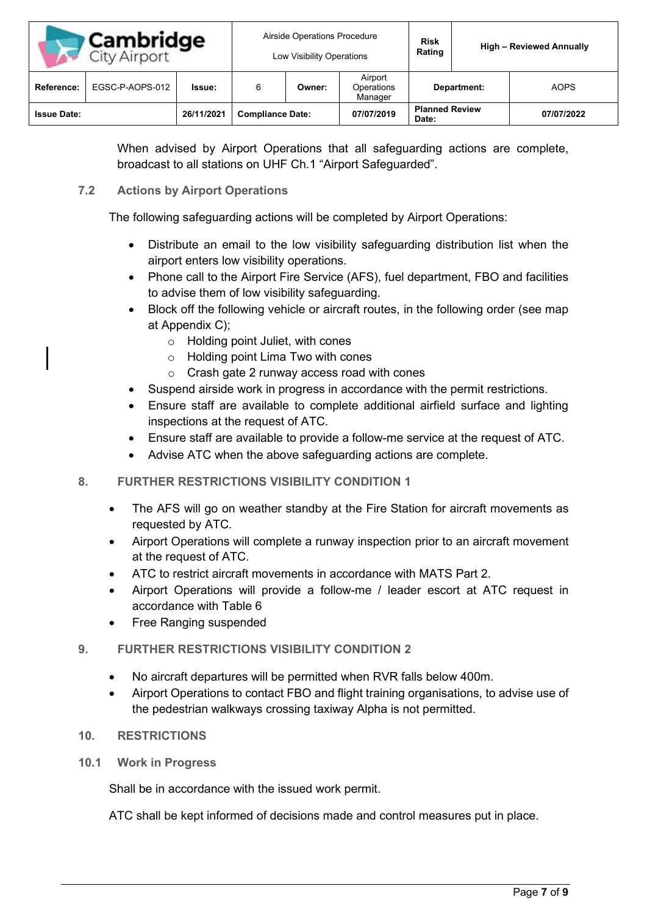| <b>Cambridge</b><br><b>City Airport</b> |                 | Airside Operations Procedure<br>Low Visibility Operations |                         |        | <b>Risk</b><br>Rating            | <b>High - Reviewed Annually</b> |  |             |
|-----------------------------------------|-----------------|-----------------------------------------------------------|-------------------------|--------|----------------------------------|---------------------------------|--|-------------|
| <b>Reference:</b>                       | EGSC-P-AOPS-012 | Issue:                                                    |                         | Owner: | Airport<br>Operations<br>Manager | Department:                     |  | <b>AOPS</b> |
| <b>Issue Date:</b>                      |                 | 26/11/2021                                                | <b>Compliance Date:</b> |        | 07/07/2019                       | <b>Planned Review</b><br>Date:  |  | 07/07/2022  |

When advised by Airport Operations that all safeguarding actions are complete, broadcast to all stations on UHF Ch.1 "Airport Safeguarded".

# **7.2 Actions by Airport Operations**

The following safeguarding actions will be completed by Airport Operations:

- Distribute an email to the low visibility safeguarding distribution list when the airport enters low visibility operations.
- Phone call to the Airport Fire Service (AFS), fuel department, FBO and facilities to advise them of low visibility safeguarding.
- Block off the following vehicle or aircraft routes, in the following order (see map at Appendix C);
	- o Holding point Juliet, with cones
	- o Holding point Lima Two with cones
	- o Crash gate 2 runway access road with cones
- Suspend airside work in progress in accordance with the permit restrictions.
- Ensure staff are available to complete additional airfield surface and lighting inspections at the request of ATC.
- Ensure staff are available to provide a follow-me service at the request of ATC.
- Advise ATC when the above safeguarding actions are complete.

# **8. FURTHER RESTRICTIONS VISIBILITY CONDITION 1**

- The AFS will go on weather standby at the Fire Station for aircraft movements as requested by ATC.
- Airport Operations will complete a runway inspection prior to an aircraft movement at the request of ATC.
- ATC to restrict aircraft movements in accordance with MATS Part 2.
- Airport Operations will provide a follow-me / leader escort at ATC request in accordance with Table 6
- Free Ranging suspended

# **9. FURTHER RESTRICTIONS VISIBILITY CONDITION 2**

- No aircraft departures will be permitted when RVR falls below 400m.
- Airport Operations to contact FBO and flight training organisations, to advise use of the pedestrian walkways crossing taxiway Alpha is not permitted.

# **10. RESTRICTIONS**

**10.1 Work in Progress**

Shall be in accordance with the issued work permit.

ATC shall be kept informed of decisions made and control measures put in place.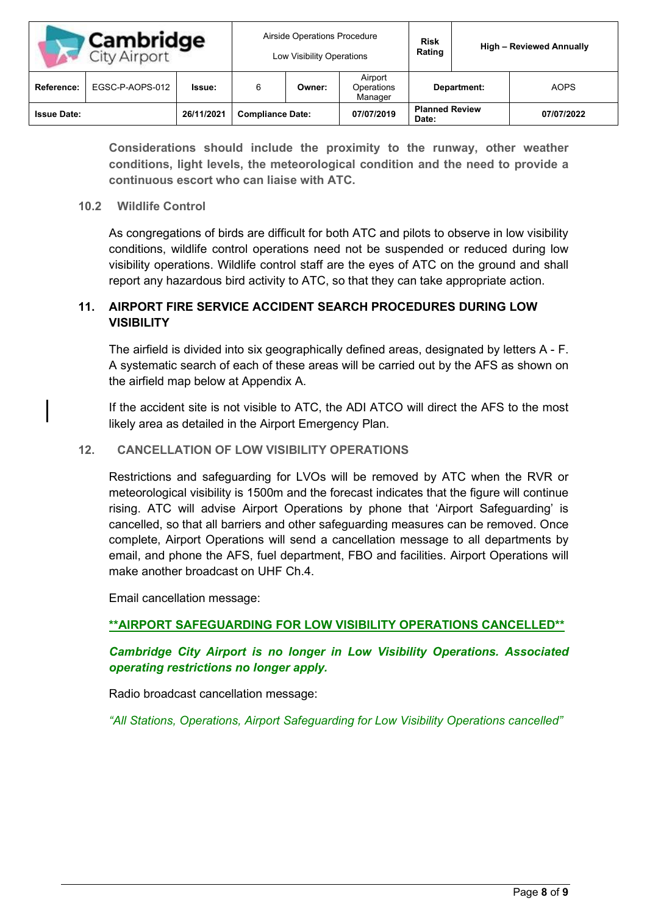| <b>Cambridge</b><br><b>City Airport</b> |                 | Airside Operations Procedure<br>Low Visibility Operations |                         |        | <b>Risk</b><br>Rating            |                                | <b>High - Reviewed Annually</b> |             |
|-----------------------------------------|-----------------|-----------------------------------------------------------|-------------------------|--------|----------------------------------|--------------------------------|---------------------------------|-------------|
| Reference:                              | EGSC-P-AOPS-012 | Issue:                                                    |                         | Owner: | Airport<br>Operations<br>Manager | Department:                    |                                 | <b>AOPS</b> |
| <b>Issue Date:</b>                      |                 | 26/11/2021                                                | <b>Compliance Date:</b> |        | 07/07/2019                       | <b>Planned Review</b><br>Date: |                                 | 07/07/2022  |

**Considerations should include the proximity to the runway, other weather conditions, light levels, the meteorological condition and the need to provide a continuous escort who can liaise with ATC.**

### **10.2 Wildlife Control**

As congregations of birds are difficult for both ATC and pilots to observe in low visibility conditions, wildlife control operations need not be suspended or reduced during low visibility operations. Wildlife control staff are the eyes of ATC on the ground and shall report any hazardous bird activity to ATC, so that they can take appropriate action.

# **11. AIRPORT FIRE SERVICE ACCIDENT SEARCH PROCEDURES DURING LOW VISIBILITY**

The airfield is divided into six geographically defined areas, designated by letters A - F. A systematic search of each of these areas will be carried out by the AFS as shown on the airfield map below at Appendix A.

If the accident site is not visible to ATC, the ADI ATCO will direct the AFS to the most likely area as detailed in the Airport Emergency Plan.

## **12. CANCELLATION OF LOW VISIBILITY OPERATIONS**

Restrictions and safeguarding for LVOs will be removed by ATC when the RVR or meteorological visibility is 1500m and the forecast indicates that the figure will continue rising. ATC will advise Airport Operations by phone that 'Airport Safeguarding' is cancelled, so that all barriers and other safeguarding measures can be removed. Once complete, Airport Operations will send a cancellation message to all departments by email, and phone the AFS, fuel department, FBO and facilities. Airport Operations will make another broadcast on UHF Ch.4.

Email cancellation message:

# **\*\*AIRPORT SAFEGUARDING FOR LOW VISIBILITY OPERATIONS CANCELLED\*\***

# *Cambridge City Airport is no longer in Low Visibility Operations. Associated operating restrictions no longer apply.*

Radio broadcast cancellation message:

*"All Stations, Operations, Airport Safeguarding for Low Visibility Operations cancelled"*